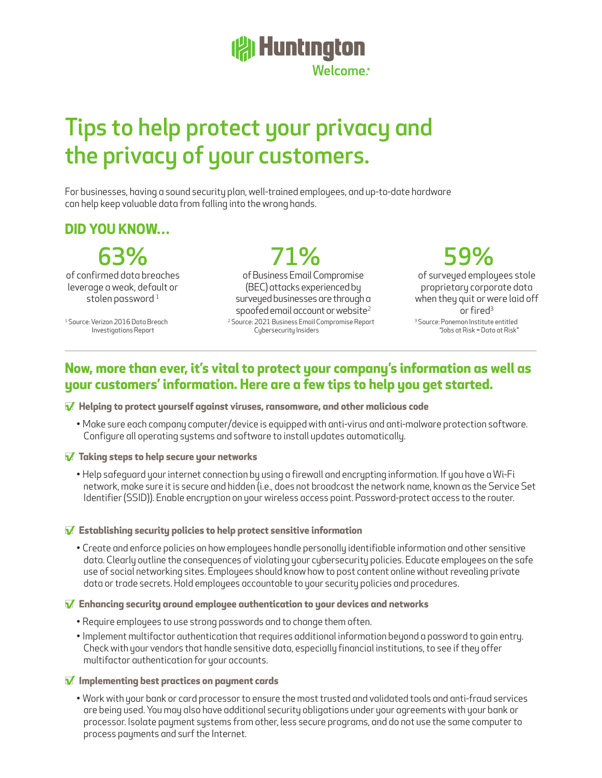# **All Huntington** Welcome

# Tips to help protect your privacy and the privacy of your customers.

For businesses, having a sound security plan, well-trained employees, and up-to-date hardware can help keep valuable data from falling into the wrong hands.

# **DID YOU KNOW…**

63% 71% 59%

of confirmed data breaches leverage a weak, default or stolen password $<sup>1</sup>$ </sup>

<sup>1</sup> Source: Verizon 2016 Data Breach Investigations Report

<sup>2</sup> Source: 2021 Business Email Compromise Report Cybersecurity Insiders of Business Email Compromise (BEC) attacks experienced by surveyed businesses are through a spoofed email account or website<sup>2</sup>

<sup>3</sup> Source: Ponemon Institute entitled "Jobs at Risk = Data at Risk" of surveyed employees stole proprietary corporate data when they quit or were laid off or fired<sup>3</sup>

## **Now, more than ever, it's vital to protect your company's information as well as your customers' information. Here are a few tips to help you get started.**

#### □**√ Helping to protect yourself against viruses, ransomware, and other malicious code**

• Make sure each company computer/device is equipped with anti-virus and anti-malware protection software. Configure all operating systems and software to install updates automatically.

#### □**√ Taking steps to help secure your networks**

• Help safeguard your internet connection by using a firewall and encrypting information. If you have a Wi-Fi network, make sure it is secure and hidden (i.e., does not broadcast the network name, known as the Service Set Identifier (SSID)). Enable encryption on your wireless access point. Password-protect access to the router.

#### □**√ Establishing security policies to help protect sensitive information**

• Create and enforce policies on how employees handle personally identifiable information and other sensitive data. Clearly outline the consequences of violating your cybersecurity policies. Educate employees on the safe use of social networking sites. Employees should know how to post content online without revealing private data or trade secrets. Hold employees accountable to your security policies and procedures.

#### □**√ Enhancing security around employee authentication to your devices and networks**

- Require employees to use strong passwords and to change them often.
- Implement multifactor authentication that requires additional information beyond a password to gain entry. Check with your vendors that handle sensitive data, especially financial institutions, to see if they offer multifactor authentication for your accounts.

#### □**√ Implementing best practices on payment cards**

• Work with your bank or card processor to ensure the most trusted and validated tools and anti-fraud services are being used. You may also have additional security obligations under your agreements with your bank or processor. Isolate payment systems from other, less secure programs, and do not use the same computer to process payments and surf the Internet.